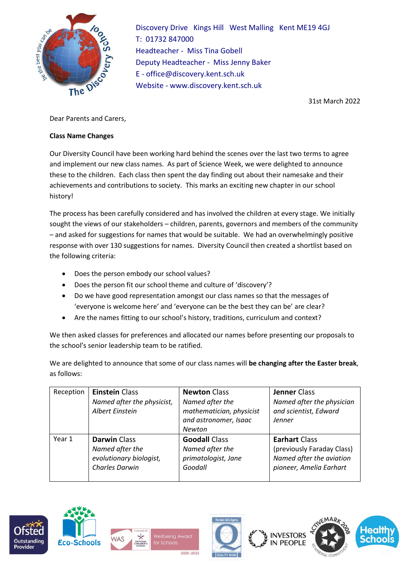

Discovery Drive Kings Hill West Malling Kent ME19 4GJ T: 01732 847000 Headteacher - Miss Tina Gobell Deputy Headteacher - Miss Jenny Baker E - office@discovery.kent.sch.uk Website - www.discovery.kent.sch.uk

31st March 2022

Dear Parents and Carers,

## **Class Name Changes**

Our Diversity Council have been working hard behind the scenes over the last two terms to agree and implement our new class names. As part of Science Week, we were delighted to announce these to the children. Each class then spent the day finding out about their namesake and their achievements and contributions to society. This marks an exciting new chapter in our school history!

The process has been carefully considered and has involved the children at every stage. We initially sought the views of our stakeholders – children, parents, governors and members of the community – and asked for suggestions for names that would be suitable. We had an overwhelmingly positive response with over 130 suggestions for names. Diversity Council then created a shortlist based on the following criteria:

- Does the person embody our school values?
- Does the person fit our school theme and culture of 'discovery'?
- Do we have good representation amongst our class names so that the messages of 'everyone is welcome here' and 'everyone can be the best they can be' are clear?
- Are the names fitting to our school's history, traditions, curriculum and context?

We then asked classes for preferences and allocated our names before presenting our proposals to the school's senior leadership team to be ratified.

We are delighted to announce that some of our class names will **be changing after the Easter break**, as follows:

| Reception | <b>Einstein Class</b><br>Named after the physicist,<br>Albert Einstein | <b>Newton Class</b><br>Named after the<br>mathematician, physicist<br>and astronomer, Isaac<br><b>Newton</b> | Jenner Class<br>Named after the physician<br>and scientist, Edward<br>Jenner |
|-----------|------------------------------------------------------------------------|--------------------------------------------------------------------------------------------------------------|------------------------------------------------------------------------------|
| Year 1    | <b>Darwin Class</b>                                                    | <b>Goodall Class</b>                                                                                         | <b>Earhart Class</b>                                                         |
|           | Named after the                                                        | Named after the                                                                                              | (previously Faraday Class)                                                   |
|           | evolutionary biologist,                                                | primatologist, Jane                                                                                          | Named after the aviation                                                     |
|           | Charles Darwin                                                         | Goodall                                                                                                      | pioneer, Amelia Earhart                                                      |